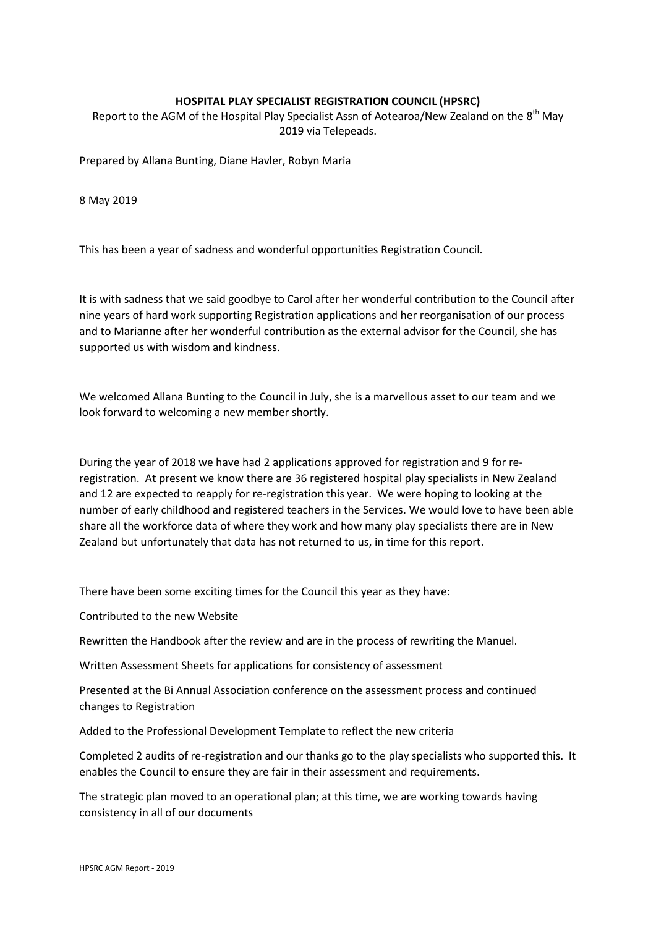## **HOSPITAL PLAY SPECIALIST REGISTRATION COUNCIL (HPSRC)**

Report to the AGM of the Hospital Play Specialist Assn of Aotearoa/New Zealand on the 8<sup>th</sup> May 2019 via Telepeads.

Prepared by Allana Bunting, Diane Havler, Robyn Maria

8 May 2019

This has been a year of sadness and wonderful opportunities Registration Council.

It is with sadness that we said goodbye to Carol after her wonderful contribution to the Council after nine years of hard work supporting Registration applications and her reorganisation of our process and to Marianne after her wonderful contribution as the external advisor for the Council, she has supported us with wisdom and kindness.

We welcomed Allana Bunting to the Council in July, she is a marvellous asset to our team and we look forward to welcoming a new member shortly.

During the year of 2018 we have had 2 applications approved for registration and 9 for reregistration. At present we know there are 36 registered hospital play specialists in New Zealand and 12 are expected to reapply for re-registration this year. We were hoping to looking at the number of early childhood and registered teachers in the Services. We would love to have been able share all the workforce data of where they work and how many play specialists there are in New Zealand but unfortunately that data has not returned to us, in time for this report.

There have been some exciting times for the Council this year as they have:

Contributed to the new Website

Rewritten the Handbook after the review and are in the process of rewriting the Manuel.

Written Assessment Sheets for applications for consistency of assessment

Presented at the Bi Annual Association conference on the assessment process and continued changes to Registration

Added to the Professional Development Template to reflect the new criteria

Completed 2 audits of re-registration and our thanks go to the play specialists who supported this. It enables the Council to ensure they are fair in their assessment and requirements.

The strategic plan moved to an operational plan; at this time, we are working towards having consistency in all of our documents